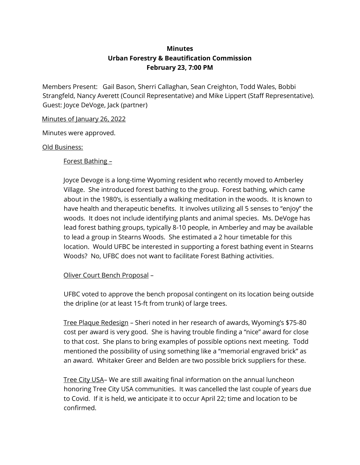## **Minutes Urban Forestry & Beautification Commission February 23, 7:00 PM**

Members Present: Gail Bason, Sherri Callaghan, Sean Creighton, Todd Wales, Bobbi Strangfeld, Nancy Averett (Council Representative) and Mike Lippert (Staff Representative). Guest: Joyce DeVoge, Jack (partner)

## Minutes of January 26, 2022

Minutes were approved.

## Old Business:

Forest Bathing –

Joyce Devoge is a long-time Wyoming resident who recently moved to Amberley Village. She introduced forest bathing to the group. Forest bathing, which came about in the 1980's, is essentially a walking meditation in the woods. It is known to have health and therapeutic benefits. It involves utilizing all 5 senses to "enjoy" the woods. It does not include identifying plants and animal species. Ms. DeVoge has lead forest bathing groups, typically 8-10 people, in Amberley and may be available to lead a group in Stearns Woods. She estimated a 2 hour timetable for this location. Would UFBC be interested in supporting a forest bathing event in Stearns Woods? No, UFBC does not want to facilitate Forest Bathing activities.

## Oliver Court Bench Proposal –

UFBC voted to approve the bench proposal contingent on its location being outside the dripline (or at least 15-ft from trunk) of large trees.

Tree Plaque Redesign – Sheri noted in her research of awards, Wyoming's \$75-80 cost per award is very good. She is having trouble finding a "nice" award for close to that cost. She plans to bring examples of possible options next meeting. Todd mentioned the possibility of using something like a "memorial engraved brick" as an award. Whitaker Greer and Belden are two possible brick suppliers for these.

Tree City USA– We are still awaiting final information on the annual luncheon honoring Tree City USA communities. It was cancelled the last couple of years due to Covid. If it is held, we anticipate it to occur April 22; time and location to be confirmed.